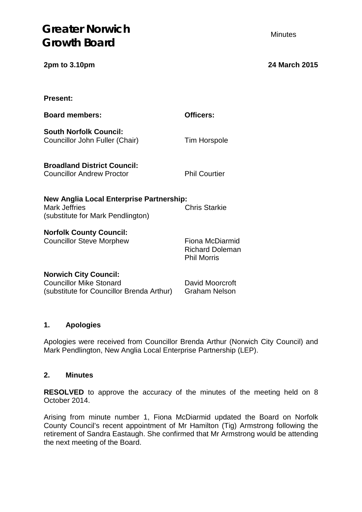| <b>Present:</b>                                                                                             |                                                                 |
|-------------------------------------------------------------------------------------------------------------|-----------------------------------------------------------------|
| <b>Board members:</b>                                                                                       | Officers:                                                       |
| <b>South Norfolk Council:</b><br>Councillor John Fuller (Chair)                                             | <b>Tim Horspole</b>                                             |
| <b>Broadland District Council:</b><br><b>Councillor Andrew Proctor</b>                                      | <b>Phil Courtier</b>                                            |
| New Anglia Local Enterprise Partnership:<br><b>Mark Jeffries</b><br>(substitute for Mark Pendlington)       | <b>Chris Starkie</b>                                            |
| <b>Norfolk County Council:</b><br><b>Councillor Steve Morphew</b>                                           | Fiona McDiarmid<br><b>Richard Doleman</b><br><b>Phil Morris</b> |
| <b>Norwich City Council:</b><br><b>Councillor Mike Stonard</b><br>(substitute for Councillor Brenda Arthur) | David Moorcroft<br><b>Graham Nelson</b>                         |

### **1. Apologies**

Apologies were received from Councillor Brenda Arthur (Norwich City Council) and Mark Pendlington, New Anglia Local Enterprise Partnership (LEP).

# **2. Minutes**

**RESOLVED** to approve the accuracy of the minutes of the meeting held on 8 October 2014.

Arising from minute number 1, Fiona McDiarmid updated the Board on Norfolk County Council's recent appointment of Mr Hamilton (Tig) Armstrong following the retirement of Sandra Eastaugh. She confirmed that Mr Armstrong would be attending the next meeting of the Board.

**2pm to 3.10pm 24 March 2015**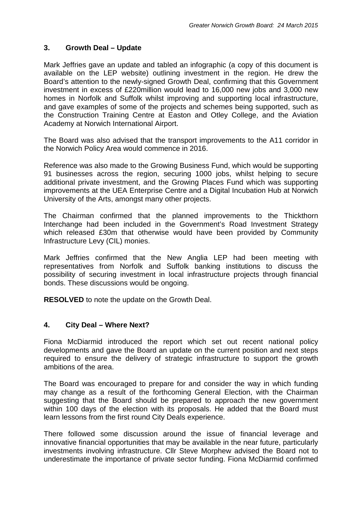# **3. Growth Deal – Update**

Mark Jeffries gave an update and tabled an infographic (a copy of this document is available on the LEP website) outlining investment in the region. He drew the Board's attention to the newly-signed Growth Deal, confirming that this Government investment in excess of £220million would lead to 16,000 new jobs and 3,000 new homes in Norfolk and Suffolk whilst improving and supporting local infrastructure, and gave examples of some of the projects and schemes being supported, such as the Construction Training Centre at Easton and Otley College, and the Aviation Academy at Norwich International Airport.

The Board was also advised that the transport improvements to the A11 corridor in the Norwich Policy Area would commence in 2016.

Reference was also made to the Growing Business Fund, which would be supporting 91 businesses across the region, securing 1000 jobs, whilst helping to secure additional private investment, and the Growing Places Fund which was supporting improvements at the UEA Enterprise Centre and a Digital Incubation Hub at Norwich University of the Arts, amongst many other projects.

The Chairman confirmed that the planned improvements to the Thickthorn Interchange had been included in the Government's Road Investment Strategy which released £30m that otherwise would have been provided by Community Infrastructure Levy (CIL) monies.

Mark Jeffries confirmed that the New Anglia LEP had been meeting with representatives from Norfolk and Suffolk banking institutions to discuss the possibility of securing investment in local infrastructure projects through financial bonds. These discussions would be ongoing.

**RESOLVED** to note the update on the Growth Deal.

### **4. City Deal – Where Next?**

Fiona McDiarmid introduced the report which set out recent national policy developments and gave the Board an update on the current position and next steps required to ensure the delivery of strategic infrastructure to support the growth ambitions of the area.

The Board was encouraged to prepare for and consider the way in which funding may change as a result of the forthcoming General Election, with the Chairman suggesting that the Board should be prepared to approach the new government within 100 days of the election with its proposals. He added that the Board must learn lessons from the first round City Deals experience.

There followed some discussion around the issue of financial leverage and innovative financial opportunities that may be available in the near future, particularly investments involving infrastructure. Cllr Steve Morphew advised the Board not to underestimate the importance of private sector funding. Fiona McDiarmid confirmed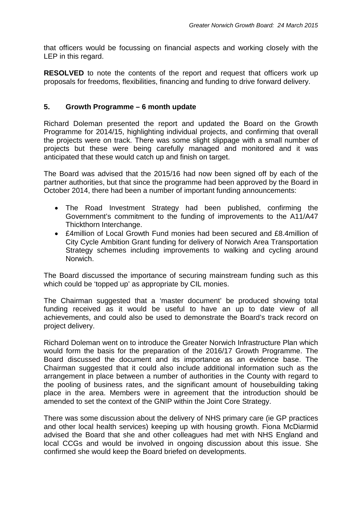that officers would be focussing on financial aspects and working closely with the LEP in this regard.

**RESOLVED** to note the contents of the report and request that officers work up proposals for freedoms, flexibilities, financing and funding to drive forward delivery.

#### **5. Growth Programme – 6 month update**

Richard Doleman presented the report and updated the Board on the Growth Programme for 2014/15, highlighting individual projects, and confirming that overall the projects were on track. There was some slight slippage with a small number of projects but these were being carefully managed and monitored and it was anticipated that these would catch up and finish on target.

The Board was advised that the 2015/16 had now been signed off by each of the partner authorities, but that since the programme had been approved by the Board in October 2014, there had been a number of important funding announcements:

- The Road Investment Strategy had been published, confirming the Government's commitment to the funding of improvements to the A11/A47 Thickthorn Interchange.
- £4million of Local Growth Fund monies had been secured and £8.4million of City Cycle Ambition Grant funding for delivery of Norwich Area Transportation Strategy schemes including improvements to walking and cycling around Norwich.

The Board discussed the importance of securing mainstream funding such as this which could be 'topped up' as appropriate by CIL monies.

The Chairman suggested that a 'master document' be produced showing total funding received as it would be useful to have an up to date view of all achievements, and could also be used to demonstrate the Board's track record on project delivery.

Richard Doleman went on to introduce the Greater Norwich Infrastructure Plan which would form the basis for the preparation of the 2016/17 Growth Programme. The Board discussed the document and its importance as an evidence base. The Chairman suggested that it could also include additional information such as the arrangement in place between a number of authorities in the County with regard to the pooling of business rates, and the significant amount of housebuilding taking place in the area. Members were in agreement that the introduction should be amended to set the context of the GNIP within the Joint Core Strategy.

There was some discussion about the delivery of NHS primary care (ie GP practices and other local health services) keeping up with housing growth. Fiona McDiarmid advised the Board that she and other colleagues had met with NHS England and local CCGs and would be involved in ongoing discussion about this issue. She confirmed she would keep the Board briefed on developments.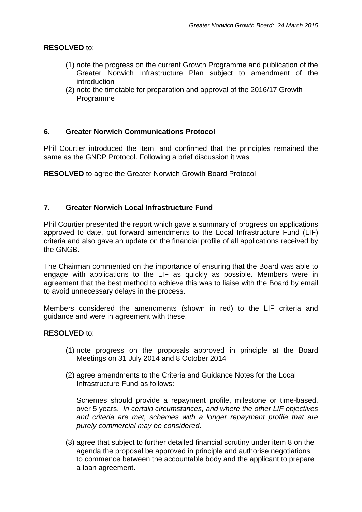## **RESOLVED** to:

- (1) note the progress on the current Growth Programme and publication of the Greater Norwich Infrastructure Plan subject to amendment of the introduction
- (2) note the timetable for preparation and approval of the 2016/17 Growth Programme

### **6. Greater Norwich Communications Protocol**

Phil Courtier introduced the item, and confirmed that the principles remained the same as the GNDP Protocol. Following a brief discussion it was

**RESOLVED** to agree the Greater Norwich Growth Board Protocol

### **7. Greater Norwich Local Infrastructure Fund**

Phil Courtier presented the report which gave a summary of progress on applications approved to date, put forward amendments to the Local Infrastructure Fund (LIF) criteria and also gave an update on the financial profile of all applications received by the GNGB.

The Chairman commented on the importance of ensuring that the Board was able to engage with applications to the LIF as quickly as possible. Members were in agreement that the best method to achieve this was to liaise with the Board by email to avoid unnecessary delays in the process.

Members considered the amendments (shown in red) to the LIF criteria and guidance and were in agreement with these.

#### **RESOLVED** to:

- (1) note progress on the proposals approved in principle at the Board Meetings on 31 July 2014 and 8 October 2014
- (2) agree amendments to the Criteria and Guidance Notes for the Local Infrastructure Fund as follows:

Schemes should provide a repayment profile, milestone or time-based, over 5 years. *In certain circumstances, and where the other LIF objectives and criteria are met, schemes with a longer repayment profile that are purely commercial may be considered*.

(3) agree that subject to further detailed financial scrutiny under item 8 on the agenda the proposal be approved in principle and authorise negotiations to commence between the accountable body and the applicant to prepare a loan agreement.